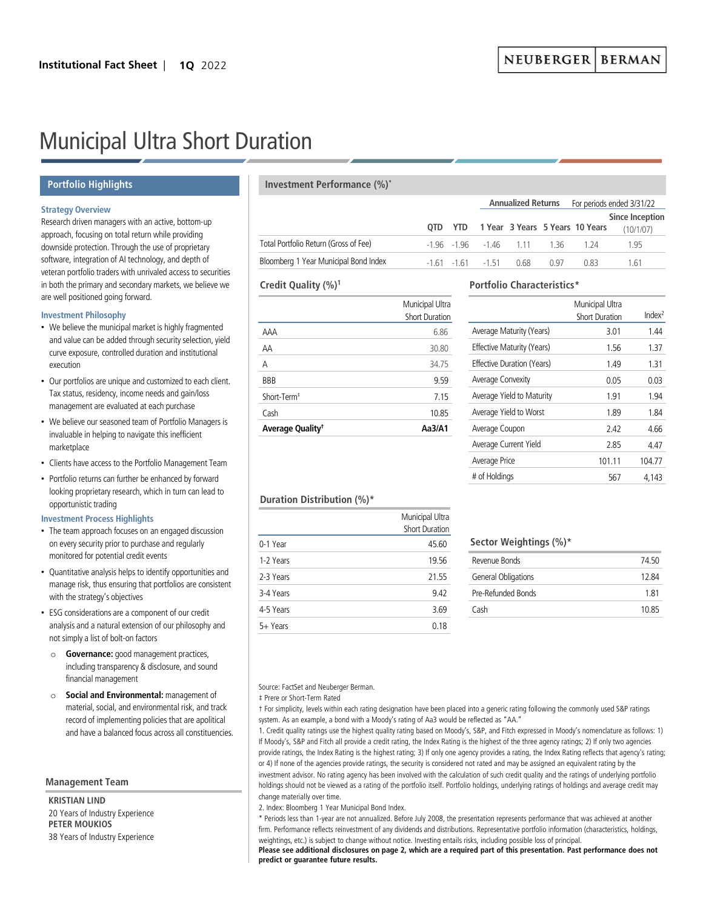# Municipal Ultra Short Duration

## **Portfolio Highlights**

# **Strategy Overview**

Research driven managers with an active, bottom-up approach, focusing on total return while providing downside protection. Through the use of proprietary software, integration of AI technology, and depth of veteran portfolio traders with unrivaled access to securities in both the primary and secondary markets, we believe we are well positioned going forward.

#### **Investment Philosophy**

- We believe the municipal market is highly fragmented and value can be added through security selection, yield curve exposure, controlled duration and institutional execution
- Our portfolios are unique and customized to each client. Tax status, residency, income needs and gain/loss management are evaluated at each purchase
- We believe our seasoned team of Portfolio Managers is invaluable in helping to navigate this inefficient marketplace
- Clients have access to the Portfolio Management Team
- Portfolio returns can further be enhanced by forward looking proprietary research, which in turn can lead to opportunistic trading

## **Investment Process Highlights**

- The team approach focuses on an engaged discussion on every security prior to purchase and regularly monitored for potential credit events
- Quantitative analysis helps to identify opportunities and manage risk, thus ensuring that portfolios are consistent with the strategy's objectives
- ESG considerations are a component of our credit analysis and a natural extension of our philosophy and not simply a list of bolt-on factors
	- o **Governance:** good management practices, including transparency & disclosure, and sound financial management
	- o **Social and Environmental:** management of material, social, and environmental risk, and track record of implementing policies that are apolitical and have a balanced focus across all constituencies.

### **Management Team**

**KRISTIAN LIND** 20 Years of Industry Experience **PETER MOUKIOS** 38 Years of Industry Experience

# **Investment Performance (%)\***

|                                       |  |                    |                        |      | Annualized Returns For periods ended 3/31/22 |                                     |  |
|---------------------------------------|--|--------------------|------------------------|------|----------------------------------------------|-------------------------------------|--|
|                                       |  |                    |                        |      | QTD YTD 1 Year 3 Years 5 Years 10 Years      | <b>Since Inception</b><br>(10/1/07) |  |
| Total Portfolio Return (Gross of Fee) |  |                    | -196 -196 -146 111 136 |      | -1 24                                        | 195                                 |  |
| Bloomberg 1 Year Municipal Bond Index |  | $-161 - 161 - 151$ | 0.68                   | በ 97 | 0.83                                         | 1 61                                |  |

## **Credit Quality (%)1**

| Average Quality <sup>†</sup> | Aa3/A1                                   |
|------------------------------|------------------------------------------|
| Cash                         | 10.85                                    |
| Short-Term <sup>+</sup>      | 7 15                                     |
| <b>BBB</b>                   | 9.59                                     |
| А                            | 34.75                                    |
| AA                           | 30.80                                    |
| AAA                          | 6.86                                     |
|                              | Municipal Ultra<br><b>Short Duration</b> |

# **Portfolio Characteristics\***

|                                   | Municipal Ultra<br><b>Short Duration</b> | Index <sup>2</sup> |
|-----------------------------------|------------------------------------------|--------------------|
| Average Maturity (Years)          | 3.01                                     | 1.44               |
| Effective Maturity (Years)        | 1.56                                     | 1.37               |
| <b>Effective Duration (Years)</b> | 1.49                                     | 1.31               |
| Average Convexity                 | 0.05                                     | 0.03               |
| Average Yield to Maturity         | 1.91                                     | 1.94               |
| Average Yield to Worst            | 189                                      | 1.84               |
| Average Coupon                    | 242                                      | 4.66               |
| Average Current Yield             | 285                                      | 4.47               |
| Average Price                     | 101.11                                   | 104.77             |
| # of Holdings                     | 567                                      | 4.143              |
|                                   |                                          |                    |

## **Duration Distribution (%)\***

|           | Municipal Ultra<br><b>Short Duration</b> |
|-----------|------------------------------------------|
| 0-1 Year  | 45.60                                    |
| 1-2 Years | 19.56                                    |
| 2-3 Years | 21.55                                    |
| 3-4 Years | 9.42                                     |
| 4-5 Years | 3.69                                     |
| 5+ Years  | 0.18                                     |

# **Sector Weightings (%)\***

| Revenue Bonds       | 74 50 |
|---------------------|-------|
| General Obligations | 12.84 |
| Pre-Refunded Bonds  | 181   |
| Cash                | 1085  |
|                     |       |

#### Source: FactSet and Neuberger Berman.

‡ Prere or Short-Term Rated

† For simplicity, levels within each rating designation have been placed into a generic rating following the commonly used S&P ratings system. As an example, a bond with a Moody's rating of Aa3 would be reflected as "AA."

1. Credit quality ratings use the highest quality rating based on Moody's, S&P, and Fitch expressed in Moody's nomenclature as follows: 1) If Moody's, S&P and Fitch all provide a credit rating, the Index Rating is the highest of the three agency ratings; 2) If only two agencies provide ratings, the Index Rating is the highest rating; 3) If only one agency provides a rating, the Index Rating reflects that agency's rating; or 4) If none of the agencies provide ratings, the security is considered not rated and may be assigned an equivalent rating by the investment advisor. No rating agency has been involved with the calculation of such credit quality and the ratings of underlying portfolio holdings should not be viewed as a rating of the portfolio itself. Portfolio holdings, underlying ratings of holdings and average credit may change materially over time.

2. Index: Bloomberg 1 Year Municipal Bond Index.

\* Periods less than 1-year are not annualized. Before July 2008, the presentation represents performance that was achieved at another firm. Performance reflects reinvestment of any dividends and distributions. Representative portfolio information (characteristics, holdings, weightings, etc.) is subject to change without notice. Investing entails risks, including possible loss of principal.

**Please see additional disclosures on page 2, which are a required part of this presentation. Past performance does not predict or guarantee future results.**